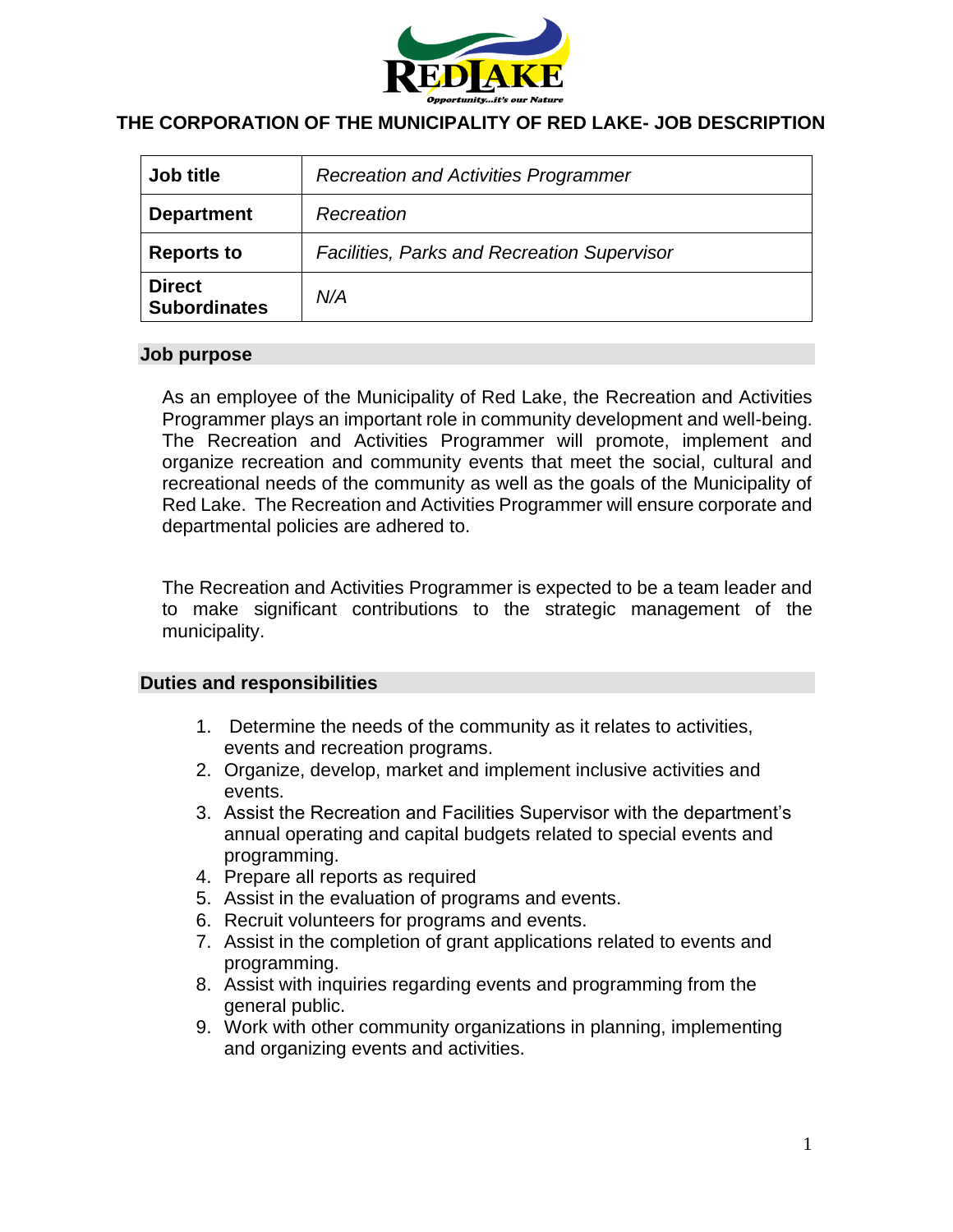

## **THE CORPORATION OF THE MUNICIPALITY OF RED LAKE- JOB DESCRIPTION**

| Job title                            | <b>Recreation and Activities Programmer</b>        |
|--------------------------------------|----------------------------------------------------|
| <b>Department</b>                    | Recreation                                         |
| <b>Reports to</b>                    | <b>Facilities, Parks and Recreation Supervisor</b> |
| <b>Direct</b><br><b>Subordinates</b> | N/A                                                |

#### **Job purpose**

As an employee of the Municipality of Red Lake, the Recreation and Activities Programmer plays an important role in community development and well-being. The Recreation and Activities Programmer will promote, implement and organize recreation and community events that meet the social, cultural and recreational needs of the community as well as the goals of the Municipality of Red Lake. The Recreation and Activities Programmer will ensure corporate and departmental policies are adhered to.

The Recreation and Activities Programmer is expected to be a team leader and to make significant contributions to the strategic management of the municipality.

#### **Duties and responsibilities**

- 1. Determine the needs of the community as it relates to activities, events and recreation programs.
- 2. Organize, develop, market and implement inclusive activities and events.
- 3. Assist the Recreation and Facilities Supervisor with the department's annual operating and capital budgets related to special events and programming.
- 4. Prepare all reports as required
- 5. Assist in the evaluation of programs and events.
- 6. Recruit volunteers for programs and events.
- 7. Assist in the completion of grant applications related to events and programming.
- 8. Assist with inquiries regarding events and programming from the general public.
- 9. Work with other community organizations in planning, implementing and organizing events and activities.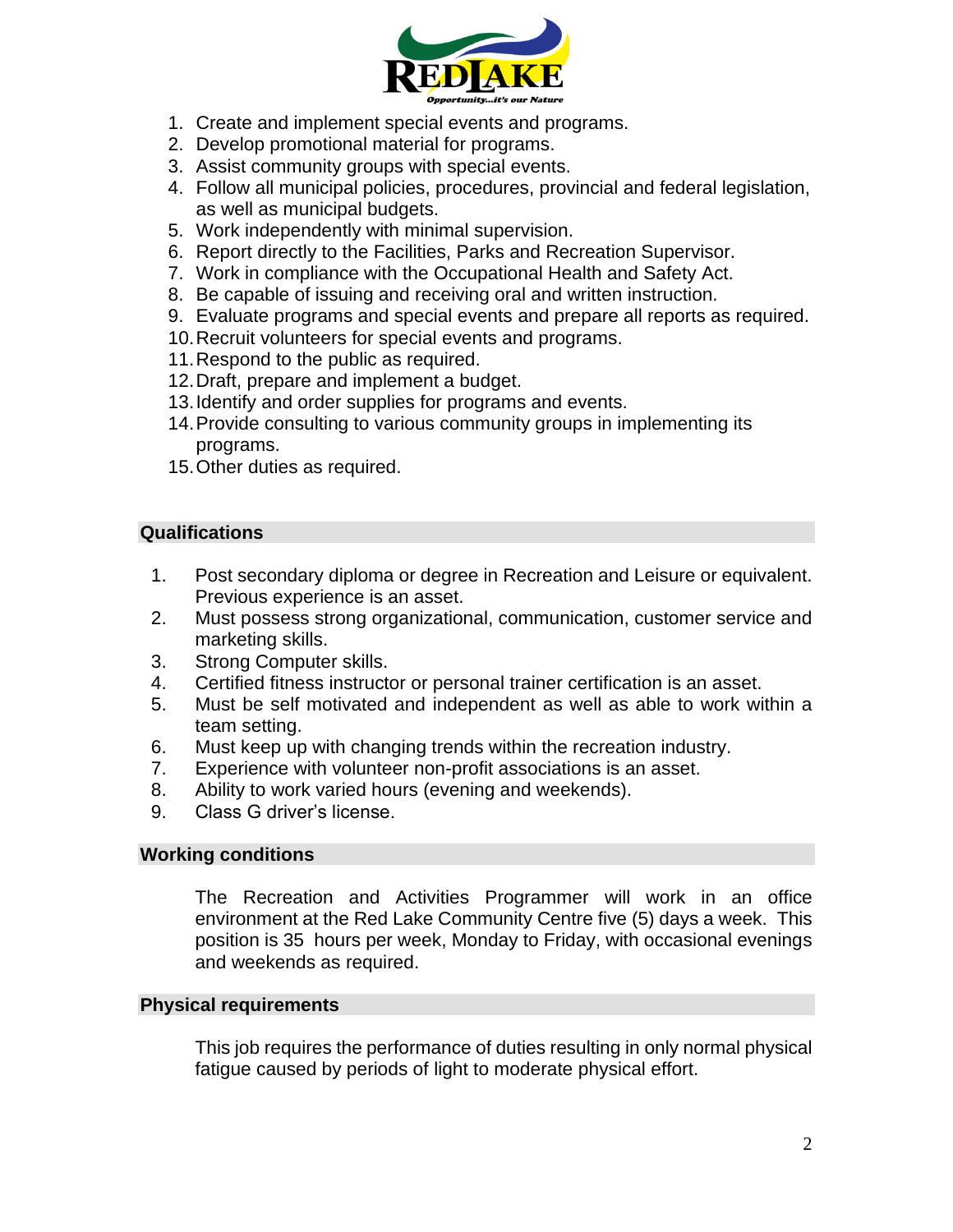

- 1. Create and implement special events and programs.
- 2. Develop promotional material for programs.
- 3. Assist community groups with special events.
- 4. Follow all municipal policies, procedures, provincial and federal legislation, as well as municipal budgets.
- 5. Work independently with minimal supervision.
- 6. Report directly to the Facilities, Parks and Recreation Supervisor.
- 7. Work in compliance with the Occupational Health and Safety Act.
- 8. Be capable of issuing and receiving oral and written instruction.
- 9. Evaluate programs and special events and prepare all reports as required.
- 10.Recruit volunteers for special events and programs.
- 11.Respond to the public as required.
- 12.Draft, prepare and implement a budget.
- 13.Identify and order supplies for programs and events.
- 14.Provide consulting to various community groups in implementing its programs.
- 15.Other duties as required.

# **Qualifications**

- 1. Post secondary diploma or degree in Recreation and Leisure or equivalent. Previous experience is an asset.
- 2. Must possess strong organizational, communication, customer service and marketing skills.
- 3. Strong Computer skills.
- 4. Certified fitness instructor or personal trainer certification is an asset.
- 5. Must be self motivated and independent as well as able to work within a team setting.
- 6. Must keep up with changing trends within the recreation industry.
- 7. Experience with volunteer non-profit associations is an asset.
- 8. Ability to work varied hours (evening and weekends).
- 9. Class G driver's license.

## **Working conditions**

The Recreation and Activities Programmer will work in an office environment at the Red Lake Community Centre five (5) days a week. This position is 35 hours per week, Monday to Friday, with occasional evenings and weekends as required.

## **Physical requirements**

This job requires the performance of duties resulting in only normal physical fatigue caused by periods of light to moderate physical effort.